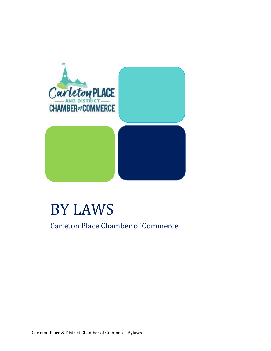

# BY LAWS Carleton Place Chamber of Commerce

Carleton Place & District Chamber of Commerce Bylaws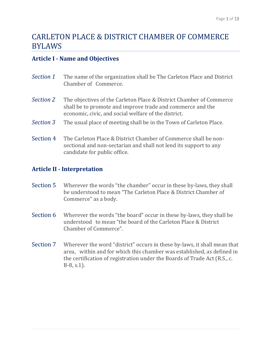# CARLETON PLACE & DISTRICT CHAMBER OF COMMERCE BYLAWS

## **Article I - Name and Objectives**

| Section 1 | The name of the organization shall be The Carleton Place and District<br>Chamber of Commerce.                                                                                             |
|-----------|-------------------------------------------------------------------------------------------------------------------------------------------------------------------------------------------|
| Section 2 | The objectives of the Carleton Place & District Chamber of Commerce<br>shall be to promote and improve trade and commerce and the<br>economic, civic, and social welfare of the district. |
| Section 3 | The usual place of meeting shall be in the Town of Carleton Place.                                                                                                                        |
| Section 4 | The Carleton Place & District Chamber of Commerce shall be non-                                                                                                                           |

sectional and non-sectarian and shall not lend its support to any candidate for public office.

# **Article II - Interpretation**

- Section 5 Wherever the words "the chamber" occur in these by-laws, they shall be understood to mean "The Carleton Place & District Chamber of Commerce" as a body.
- Section 6 Wherever the words "the board" occur in these by-laws, they shall be understood to mean "the board of the Carleton Place & District Chamber of Commerce".
- Section 7 Wherever the word "district" occurs in these by-laws, it shall mean that area, within and for which this chamber was established, as defined in the certification of registration under the Boards of Trade Act (R.S., c. B-8, s.1).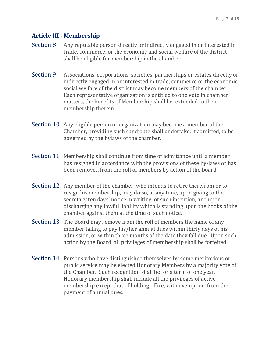# **Article III - Membership**

- Section 8 Any reputable person directly or indirectly engaged in or interested in trade, commerce, or the economic and social welfare of the district shall be eligible for membership in the chamber.
- Section 9 Associations, corporations, societies, partnerships or estates directly or indirectly engaged in or interested in trade, commerce or the economic social welfare of the district may become members of the chamber. Each representative organization is entitled to one vote in chamber matters, the benefits of Membership shall be extended to their membership therein.
- Section 10 Any eligible person or organization may become a member of the Chamber, providing such candidate shall undertake, if admitted, to be governed by the bylaws of the chamber.
- Section 11 Membership shall continue from time of admittance until a member has resigned in accordance with the provisions of these by-laws or has been removed from the roll of members by action of the board.
- Section 12 Any member of the chamber, who intends to retire therefrom or to resign his membership, may do so, at any time, upon giving to the secretary ten days' notice in writing, of such intention, and upon discharging any lawful liability which is standing upon the books of the chamber against them at the time of such notice.
- Section 13 The Board may remove from the roll of members the name of any member failing to pay his/her annual dues within thirty days of his admission, or within three months of the date they fall due. Upon such action by the Board, all privileges of membership shall be forfeited.
- Section 14 Persons who have distinguished themselves by some meritorious or public service may be elected Honorary Members by a majority vote of the Chamber. Such recognition shall be for a term of one year. Honorary membership shall include all the privileges of active membership except that of holding office, with exemption from the payment of annual dues.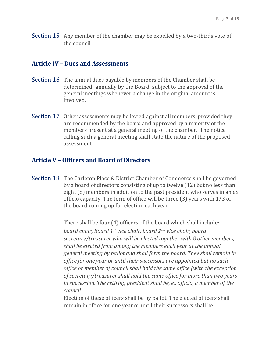Section 15 Any member of the chamber may be expelled by a two-thirds vote of the council.

#### **Article IV – Dues and Assessments**

- Section 16 The annual dues payable by members of the Chamber shall be determined annually by the Board; subject to the approval of the general meetings whenever a change in the original amount is involved.
- Section 17 Other assessments may be levied against all members, provided they are recommended by the board and approved by a majority of the members present at a general meeting of the chamber. The notice calling such a general meeting shall state the nature of the proposed assessment.

#### **Article V – Officers and Board of Directors**

Section 18 The Carleton Place & District Chamber of Commerce shall be governed by a board of directors consisting of up to twelve (12) but no less than eight (8) members in addition to the past president who serves in an ex officio capacity. The term of office will be three (3) years with 1/3 of the board coming up for election each year.

> There shall be four (4) officers of the board which shall include: *board chair, Board 1st vice chair, board 2nd vice chair, board secretary/treasurer who will be elected together with 8 other members, shall be elected from among the members each year at the annual general meeting by ballot and shall form the board. They shall remain in office for one year or until their successors are appointed but no such office or member of council shall hold the same office (with the exception of secretary/treasurer shall hold the same office for more than two years in succession. The retiring president shall be, ex officio, a member of the council.*

Election of these officers shall be by ballot. The elected officers shall remain in office for one year or until their successors shall be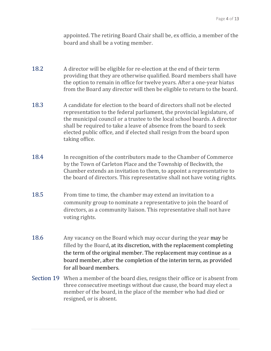appointed. The retiring Board Chair shall be, ex officio, a member of the board and shall be a voting member.

- 18.2 A director will be eligible for re-election at the end of their term providing that they are otherwise qualified. Board members shall have the option to remain in office for twelve years. After a one-year hiatus from the Board any director will then be eligible to return to the board.
- 18.3 A candidate for election to the board of directors shall not be elected representation to the federal parliament, the provincial legislature, of the municipal council or a trustee to the local school boards. A director shall be required to take a leave of absence from the board to seek elected public office, and if elected shall resign from the board upon taking office.
- 18.4 In recognition of the contributors made to the Chamber of Commerce by the Town of Carleton Place and the Township of Beckwith, the Chamber extends an invitation to them, to appoint a representative to the board of directors. This representative shall not have voting rights.
- 18.5 From time to time, the chamber may extend an invitation to a community group to nominate a representative to join the board of directors, as a community liaison. This representative shall not have voting rights.
- 18.6 Any vacancy on the Board which may occur during the year may be filled by the Board, at its discretion, with the replacement completing the term of the original member. The replacement may continue as a board member, after the completion of the interim term, as provided for all board members.
- Section 19 When a member of the board dies, resigns their office or is absent from three consecutive meetings without due cause, the board may elect a member of the board, in the place of the member who had died or resigned, or is absent.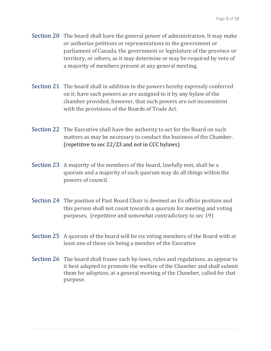- Section 20 The board shall have the general power of administration. It may make or authorize petitions or representations to the government or parliament of Canada, the government or legislature of the province or territory, or others, as it may determine or may be required by vote of a majority of members present at any general meeting.
- Section 21 The board shall in addition to the powers hereby expressly conferred on it, have such powers as are assigned to it by any bylaw of the chamber provided, however, that such powers are not inconsistent with the provisions of the Boards of Trade Act.
- Section 22 The Executive shall have the authority to act for the Board on such matters as may be necessary to conduct the business of the Chamber. (repetitive to sec 22/23 and not in CCC bylaws)
- Section 23 A majority of the members of the board, lawfully met, shall be a quorum and a majority of such quorum may do all things within the powers of council.
- Section 24 The position of Past Board Chair is deemed an Ex officio position and this person shall not count towards a quorum for meeting and voting purposes. (repetitive and somewhat contradictory to sec 19)
- Section 25 A quorum of the board will be six voting members of the Board with at least one of those six being a member of the Executive
- Section 26 The board shall frame such by-laws, rules and regulations, as appear to it best adapted to promote the welfare of the Chamber and shall submit them for adoption, at a general meeting of the Chamber, called for that purpose.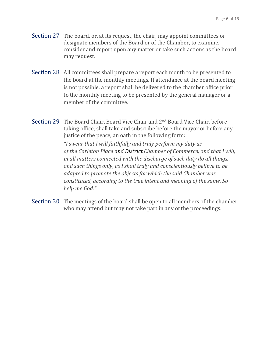- Section 27 The board, or, at its request, the chair, may appoint committees or designate members of the Board or of the Chamber, to examine, consider and report upon any matter or take such actions as the board may request.
- Section 28 All committees shall prepare a report each month to be presented to the board at the monthly meetings. If attendance at the board meeting is not possible, a report shall be delivered to the chamber office prior to the monthly meeting to be presented by the general manager or a member of the committee.
- Section 29 The Board Chair, Board Vice Chair and 2nd Board Vice Chair, before taking office, shall take and subscribe before the mayor or before any justice of the peace, an oath in the following form: *"I swear that I will faithfully and truly perform my duty as of the Carleton Place and District Chamber of Commerce, and that I will, in all matters connected with the discharge of such duty do all things, and such things only, as I shall truly and conscientiously believe to be adapted to promote the objects for which the said Chamber was constituted, according to the true intent and meaning of the same. So help me God."*
- Section 30 The meetings of the board shall be open to all members of the chamber who may attend but may not take part in any of the proceedings.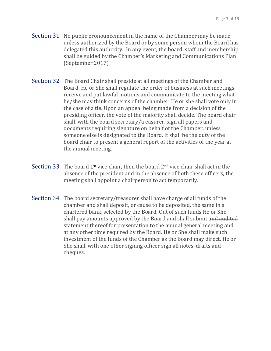- Section 31 No public pronouncement in the name of the Chamber may be made unless authorized by the Board or by some person whom the Board has delegated this authority. In any event, the board, staff and membership shall be guided by the Chamber's Marketing and Communications Plan (September 2017)
- Section 32 The Board Chair shall preside at all meetings of the Chamber and Board. He or She shall regulate the order of business at such meetings, receive and put lawful motions and communicate to the meeting what he/she may think concerns of the chamber. He or she shall vote only in the case of a tie. Upon an appeal being made from a decision of the presiding officer, the vote of the majority shall decide. The board chair shall, with the board secretary/treasurer, sign all papers and documents requiring signature on behalf of the Chamber, unless someone else is designated to the Board. It shall be the duty of the board chair to present a general report of the activities of the year at the annual meeting.
- Section 33 The board  $1<sup>st</sup>$  vice chair, then the board  $2<sup>nd</sup>$  vice chair shall act in the absence of the president and in the absence of both these officers; the meeting shall appoint a chairperson to act temporarily.
- Section 34 The board secretary/treasurer shall have charge of all funds of the chamber and shall deposit, or cause to be deposited, the same in a chartered bank, selected by the Board. Out of such funds He or She shall pay amounts approved by the Board and shall submit and audited statement thereof for presentation to the annual general meeting and at any other time required by the Board. He or She shall make such investment of the funds of the Chamber as the Board may direct. He or She shall, with one other signing officer sign all notes, drafts and cheques.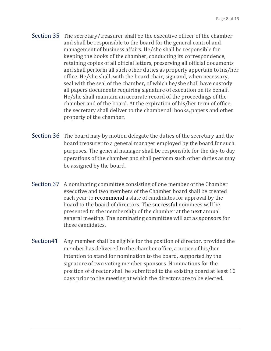- Section 35 The secretary/treasurer shall be the executive officer of the chamber and shall be responsible to the board for the general control and management of business affairs. He/she shall be responsible for keeping the books of the chamber, conducting its correspondence, retaining copies of all official letters, preserving all official documents and shall perform all such other duties as properly appertain to his/her office. He/she shall, with the board chair, sign and, when necessary, seal with the seal of the chamber, of which he/she shall have custody all papers documents requiring signature of execution on its behalf. He/she shall maintain an accurate record of the proceedings of the chamber and of the board. At the expiration of his/her term of office, the secretary shall deliver to the chamber all books, papers and other property of the chamber.
- Section 36 The board may by motion delegate the duties of the secretary and the board treasurer to a general manager employed by the board for such purposes. The general manager shall be responsible for the day to day operations of the chamber and shall perform such other duties as may be assigned by the board.
- Section 37 A nominating committee consisting of one member of the Chamber executive and two members of the Chamber board shall be created each year to recommend a slate of candidates for approval by the board to the board of directors. The successful nominees will be presented to the membership of the chamber at the next annual general meeting. The nominating committee will act as sponsors for these candidates.
- Section41 Any member shall be eligible for the position of director, provided the member has delivered to the chamber office, a notice of his/her intention to stand for nomination to the board, supported by the signature of two voting member sponsors. Nominations for the position of director shall be submitted to the existing board at least 10 days prior to the meeting at which the directors are to be elected.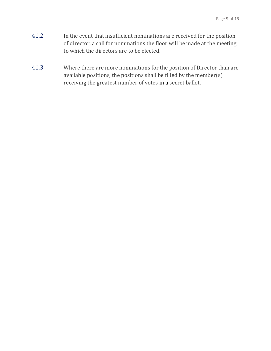- 41.2 In the event that insufficient nominations are received for the position of director, a call for nominations the floor will be made at the meeting to which the directors are to be elected.
- 41.3 Where there are more nominations for the position of Director than are available positions, the positions shall be filled by the member(s) receiving the greatest number of votes in a secret ballot.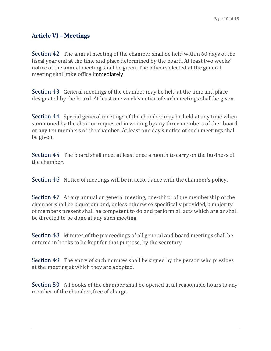# A**rticle VI – Meetings**

Section 42 The annual meeting of the chamber shall be held within 60 days of the fiscal year end at the time and place determined by the board. At least two weeks' notice of the annual meeting shall be given. The officers elected at the general meeting shall take office immediately.

Section 43 General meetings of the chamber may be held at the time and place designated by the board. At least one week's notice of such meetings shall be given.

Section 44 Special general meetings of the chamber may be held at any time when summoned by the chair or requested in writing by any three members of the board, or any ten members of the chamber. At least one day's notice of such meetings shall be given.

Section 45 The board shall meet at least once a month to carry on the business of the chamber.

Section 46 Notice of meetings will be in accordance with the chamber's policy.

Section 47 At any annual or general meeting, one-third of the membership of the chamber shall be a quorum and, unless otherwise specifically provided, a majority of members present shall be competent to do and perform all acts which are or shall be directed to be done at any such meeting.

Section 48 Minutes of the proceedings of all general and board meetings shall be entered in books to be kept for that purpose, by the secretary.

Section 49 The entry of such minutes shall be signed by the person who presides at the meeting at which they are adopted.

Section 50 All books of the chamber shall be opened at all reasonable hours to any member of the chamber, free of charge.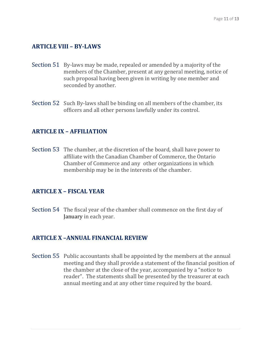#### **ARTICLE VIII – BY-LAWS**

- Section 51 By-laws may be made, repealed or amended by a majority of the members of the Chamber, present at any general meeting, notice of such proposal having been given in writing by one member and seconded by another.
- Section 52 Such By-laws shall be binding on all members of the chamber, its officers and all other persons lawfully under its control.

#### **ARTICLE IX – AFFILIATION**

Section 53 The chamber, at the discretion of the board, shall have power to affiliate with the Canadian Chamber of Commerce, the Ontario Chamber of Commerce and any other organizations in which membership may be in the interests of the chamber.

#### **ARTICLE X – FISCAL YEAR**

Section 54 The fiscal year of the chamber shall commence on the first day of January in each year.

#### **ARTICLE X –ANNUAL FINANCIAL REVIEW**

Section 55 Public accountants shall be appointed by the members at the annual meeting and they shall provide a statement of the financial position of the chamber at the close of the year, accompanied by a "notice to reader". The statements shall be presented by the treasurer at each annual meeting and at any other time required by the board.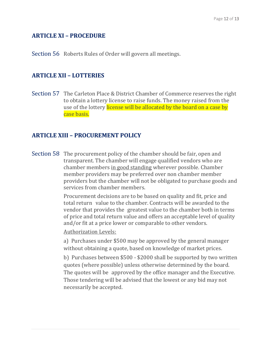#### **ARTICLE XI – PROCEDURE**

Section 56 Roberts Rules of Order will govern all meetings.

## **ARTICLE XII – LOTTERIES**

Section 57 The Carleton Place & District Chamber of Commerce reserves the right to obtain a lottery license to raise funds. The money raised from the use of the lottery license will be allocated by the board on a case by case basis.

#### **ARTICLE XIII – PROCUREMENT POLICY**

Section 58 The procurement policy of the chamber should be fair, open and transparent. The chamber will engage qualified vendors who are chamber members in good standing wherever possible. Chamber member providers may be preferred over non chamber member providers but the chamber will not be obligated to purchase goods and services from chamber members.

> Procurement decisions are to be based on quality and fit, price and total return value to the chamber. Contracts will be awarded to the vendor that provides the greatest value to the chamber both in terms of price and total return value and offers an acceptable level of quality and/or fit at a price lower or comparable to other vendors.

Authorization Levels:

a) Purchases under \$500 may be approved by the general manager without obtaining a quote, based on knowledge of market prices.

b) Purchases between \$500 - \$2000 shall be supported by two written quotes (where possible) unless otherwise determined by the board. The quotes will be approved by the office manager and the Executive. Those tendering will be advised that the lowest or any bid may not necessarily be accepted.